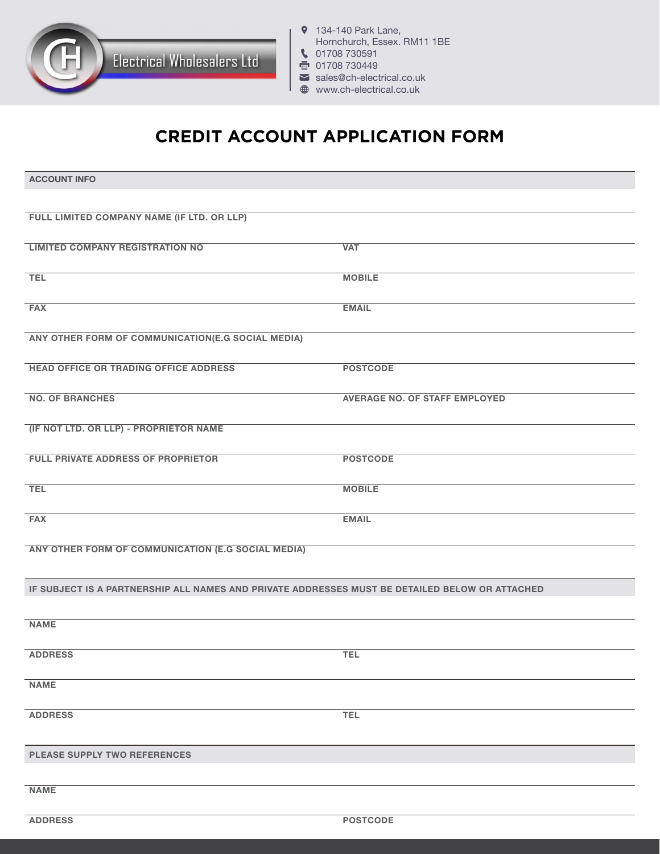

- **9** 134-140 Park Lane, Hornchurch, Essex. RM11 1BE 101708 730591
- 骨 01708 730449
- sales@ch-electrical.co.uk
- www.ch-electrical.co.uk

## **CREDIT ACCOUNT APPLICATION FORM**

| <b>ACCOUNT INFO</b>                                                                            |                                      |  |
|------------------------------------------------------------------------------------------------|--------------------------------------|--|
|                                                                                                |                                      |  |
| FULL LIMITED COMPANY NAME (IF LTD. OR LLP)                                                     |                                      |  |
| <b>LIMITED COMPANY REGISTRATION NO</b>                                                         | <b>VAT</b>                           |  |
|                                                                                                |                                      |  |
| <b>TEL</b>                                                                                     | <b>MOBILE</b>                        |  |
| <b>FAX</b>                                                                                     | <b>EMAIL</b>                         |  |
| ANY OTHER FORM OF COMMUNICATION(E.G SOCIAL MEDIA)                                              |                                      |  |
| <b>HEAD OFFICE OR TRADING OFFICE ADDRESS</b>                                                   | <b>POSTCODE</b>                      |  |
| <b>NO. OF BRANCHES</b>                                                                         | <b>AVERAGE NO. OF STAFF EMPLOYED</b> |  |
| (IF NOT LTD. OR LLP) - PROPRIETOR NAME                                                         |                                      |  |
|                                                                                                |                                      |  |
| FULL PRIVATE ADDRESS OF PROPRIETOR                                                             | <b>POSTCODE</b>                      |  |
| <b>TEL</b>                                                                                     | <b>MOBILE</b>                        |  |
| <b>FAX</b>                                                                                     | <b>EMAIL</b>                         |  |
| ANY OTHER FORM OF COMMUNICATION (E.G SOCIAL MEDIA)                                             |                                      |  |
|                                                                                                |                                      |  |
| IF SUBJECT IS A PARTNERSHIP ALL NAMES AND PRIVATE ADDRESSES MUST BE DETAILED BELOW OR ATTACHED |                                      |  |
|                                                                                                |                                      |  |
| <b>NAME</b>                                                                                    |                                      |  |
| <b>ADDRESS</b>                                                                                 | <b>TEL</b>                           |  |
| <b>NAME</b>                                                                                    |                                      |  |
| <b>ADDRESS</b>                                                                                 | <b>TEL</b>                           |  |
|                                                                                                |                                      |  |
| PLEASE SUPPLY TWO REFERENCES                                                                   |                                      |  |
| <b>NAME</b>                                                                                    |                                      |  |
|                                                                                                |                                      |  |
| <b>ADDRESS</b>                                                                                 | <b>POSTCODE</b>                      |  |